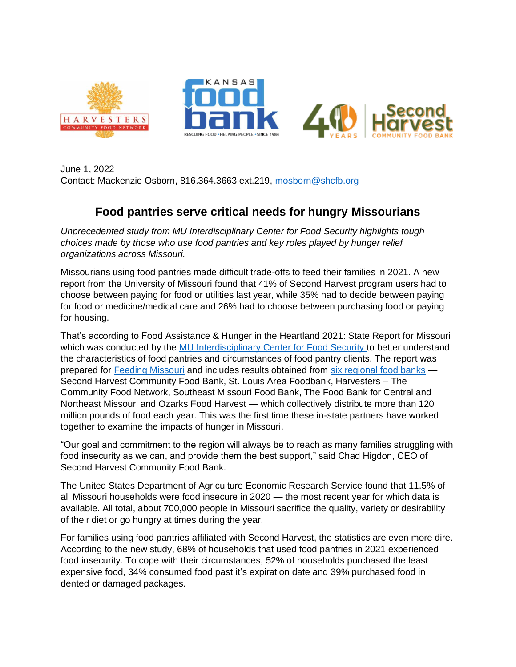

June 1, 2022 Contact: Mackenzie Osborn, 816.364.3663 ext.219, [mosborn@shcfb.org](mailto:mosborn@shcfb.org)

## **Food pantries serve critical needs for hungry Missourians**

*Unprecedented study from MU Interdisciplinary Center for Food Security highlights tough choices made by those who use food pantries and key roles played by hunger relief organizations across Missouri.* 

Missourians using food pantries made difficult trade-offs to feed their families in 2021. A new report from the University of Missouri found that 41% of Second Harvest program users had to choose between paying for food or utilities last year, while 35% had to decide between paying for food or medicine/medical care and 26% had to choose between purchasing food or paying for housing.

That's according to Food Assistance & Hunger in the Heartland 2021: State Report for Missouri which was conducted by the [MU Interdisciplinary Center for Food Security t](https://foodsecurity.missouri.edu/)o better understand the characteristics of food pantries and circumstances of food pantry clients. The report was prepared for [Feeding Missouri](https://feedingmissouri.org/) and includes results obtained from [six regional food banks](https://feedingmissouri.org/get-help/your-fb/) — Second Harvest Community Food Bank, St. Louis Area Foodbank, Harvesters – The Community Food Network, Southeast Missouri Food Bank, The Food Bank for Central and Northeast Missouri and Ozarks Food Harvest — which collectively distribute more than 120 million pounds of food each year. This was the first time these in-state partners have worked together to examine the impacts of hunger in Missouri.

"Our goal and commitment to the region will always be to reach as many families struggling with food insecurity as we can, and provide them the best support," said Chad Higdon, CEO of Second Harvest Community Food Bank.

The United States Department of Agriculture Economic Research Service found that 11.5% of all Missouri households were food insecure in 2020 — the most recent year for which data is available. All total, about 700,000 people in Missouri sacrifice the quality, variety or desirability of their diet or go hungry at times during the year.

For families using food pantries affiliated with Second Harvest, the statistics are even more dire. According to the new study, 68% of households that used food pantries in 2021 experienced food insecurity. To cope with their circumstances, 52% of households purchased the least expensive food, 34% consumed food past it's expiration date and 39% purchased food in dented or damaged packages.